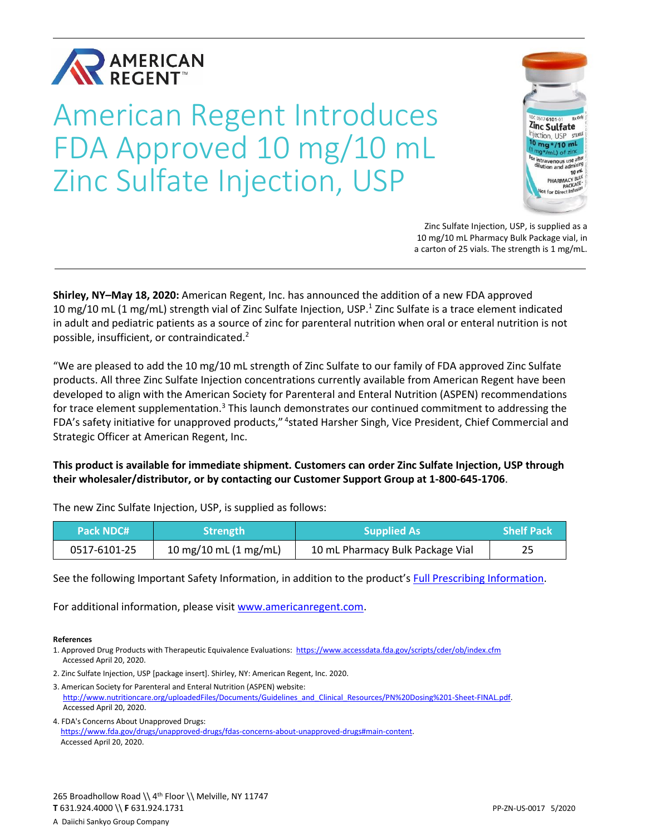

# American Regent Introduces FDA Approved 10 mg/10 mL Zinc Sulfate Injection, USP



Zinc Sulfate Injection, USP, is supplied as a 10 mg/10 mL Pharmacy Bulk Package vial, in a carton of 25 vials. The strength is 1 mg/mL.

**Shirley, NY–May 18, 2020:** American Regent, Inc. has announced the addition of a new FDA approved 10 mg/10 mL (1 mg/mL) strength vial of Zinc Sulfate Injection, USP.<sup>1</sup> Zinc Sulfate is a trace element indicated in adult and pediatric patients as a source of zinc for parenteral nutrition when oral or enteral nutrition is not possible, insufficient, or contraindicated.<sup>2</sup>

"We are pleased to add the 10 mg/10 mL strength of Zinc Sulfate to our family of FDA approved Zinc Sulfate products. All three Zinc Sulfate Injection concentrations currently available from American Regent have been developed to align with the American Society for Parenteral and Enteral Nutrition (ASPEN) recommendations for trace element supplementation.<sup>3</sup> This launch demonstrates our continued commitment to addressing the FDA's safety initiative for unapproved products," <sup>4</sup>stated Harsher Singh, Vice President, Chief Commercial and Strategic Officer at American Regent, Inc.

**This product is available for immediate shipment. Customers can order Zinc Sulfate Injection, USP through their wholesaler/distributor, or by contacting our Customer Support Group at 1-800-645-1706**.

The new Zinc Sulfate Injection, USP, is supplied as follows:

| <b>Pack NDC# 1</b> | <b>Strength</b>                 | <b>Supplied As</b>               | <b>Shelf Pack</b> |
|--------------------|---------------------------------|----------------------------------|-------------------|
| 0517-6101-25       | 10 mg/10 mL $(1 \text{ mg/mL})$ | 10 mL Pharmacy Bulk Package Vial |                   |

See the following Important Safety Information, in addition to the product's [Full Prescribing Information.](https://americanregent.com/media/2920/zinc-sulfate_prescribinginformation_commercial-insert_28apr2020.pdf)

For additional information, please visit [www.americanregent.com.](https://www.americanregent.com/our-products/zinc-sulfate-injection-usp/)

#### **References**

- 1. Approved Drug Products with Therapeutic Equivalence Evaluations: <https://www.accessdata.fda.gov/scripts/cder/ob/index.cfm> Accessed April 20, 2020.
- 2. Zinc Sulfate Injection, USP [package insert]. Shirley, NY: American Regent, Inc. 2020.
- 3. American Society for Parenteral and Enteral Nutrition (ASPEN) website: [http://www.nutritioncare.org/uploadedFiles/Documents/Guidelines\\_and\\_Clinical\\_Resources/PN%20Dosing%201-Sheet-FINAL.pdf.](http://www.nutritioncare.org/uploadedFiles/Documents/Guidelines_and_Clinical_Resources/PN%20Dosing%201-Sheet-FINAL.pdf) Accessed April 20, 2020.
- 4. FDA's Concerns About Unapproved Drugs: [https://www.fda.gov/drugs/unapproved-drugs/fdas-concerns-about-unapproved-drugs#main-content.](https://www.fda.gov/drugs/unapproved-drugs/fdas-concerns-about-unapproved-drugs#main-content) Accessed April 20, 2020.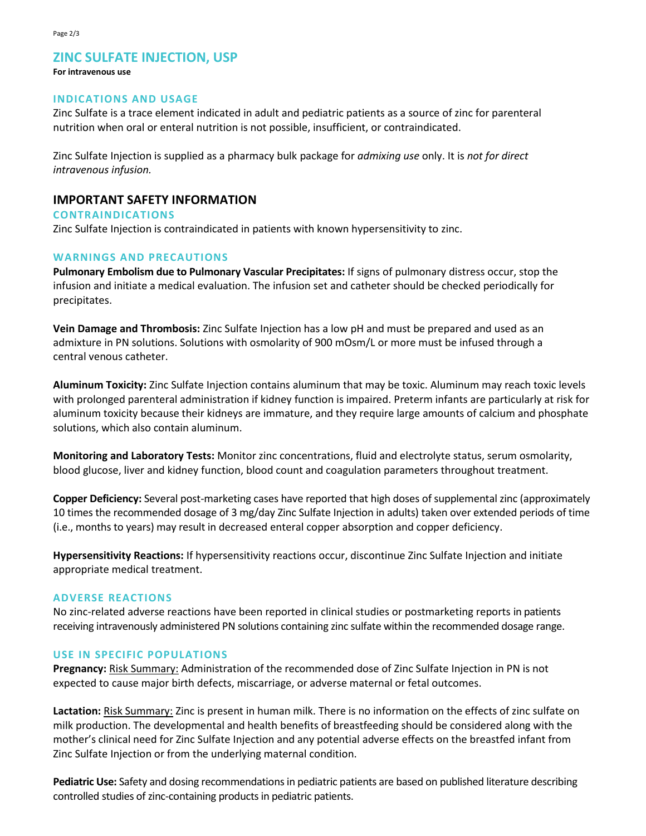# **ZINC SULFATE INJECTION, USP**

#### **For intravenous use**

#### **INDICATIONS AND USAGE**

Zinc Sulfate is a trace element indicated in adult and pediatric patients as a source of zinc for parenteral nutrition when oral or enteral nutrition is not possible, insufficient, or contraindicated.

Zinc Sulfate Injection is supplied as a pharmacy bulk package for *admixing use* only. It is *not for direct intravenous infusion.*

## **IMPORTANT SAFETY INFORMATION**

#### **CONTRAINDICATIONS**

Zinc Sulfate Injection is contraindicated in patients with known hypersensitivity to zinc.

## **WARNINGS AND PRECAUTIONS**

**Pulmonary Embolism due to Pulmonary Vascular Precipitates:** If signs of pulmonary distress occur, stop the infusion and initiate a medical evaluation. The infusion set and catheter should be checked periodically for precipitates.

**Vein Damage and Thrombosis:** Zinc Sulfate Injection has a low pH and must be prepared and used as an admixture in PN solutions. Solutions with osmolarity of 900 mOsm/L or more must be infused through a central venous catheter.

**Aluminum Toxicity:** Zinc Sulfate Injection contains aluminum that may be toxic. Aluminum may reach toxic levels with prolonged parenteral administration if kidney function is impaired. Preterm infants are particularly at risk for aluminum toxicity because their kidneys are immature, and they require large amounts of calcium and phosphate solutions, which also contain aluminum.

**Monitoring and Laboratory Tests:** Monitor zinc concentrations, fluid and electrolyte status, serum osmolarity, blood glucose, liver and kidney function, blood count and coagulation parameters throughout treatment.

**Copper Deficiency:** Several post-marketing cases have reported that high doses of supplemental zinc (approximately 10 times the recommended dosage of 3 mg/day Zinc Sulfate Injection in adults) taken over extended periods of time (i.e., months to years) may result in decreased enteral copper absorption and copper deficiency.

**Hypersensitivity Reactions:** If hypersensitivity reactions occur, discontinue Zinc Sulfate Injection and initiate appropriate medical treatment.

#### **ADVERSE REACTIONS**

No zinc-related adverse reactions have been reported in clinical studies or postmarketing reports in patients receiving intravenously administered PN solutions containing zinc sulfate within the recommended dosage range.

#### **USE IN SPECIFIC POPULATIONS**

**Pregnancy:** Risk Summary: Administration of the recommended dose of Zinc Sulfate Injection in PN is not expected to cause major birth defects, miscarriage, or adverse maternal or fetal outcomes.

**Lactation:** Risk Summary: Zinc is present in human milk. There is no information on the effects of zinc sulfate on milk production. The developmental and health benefits of breastfeeding should be considered along with the mother's clinical need for Zinc Sulfate Injection and any potential adverse effects on the breastfed infant from Zinc Sulfate Injection or from the underlying maternal condition.

**Pediatric Use:** Safety and dosing recommendations in pediatric patients are based on published literature describing controlled studies of zinc-containing products in pediatric patients.